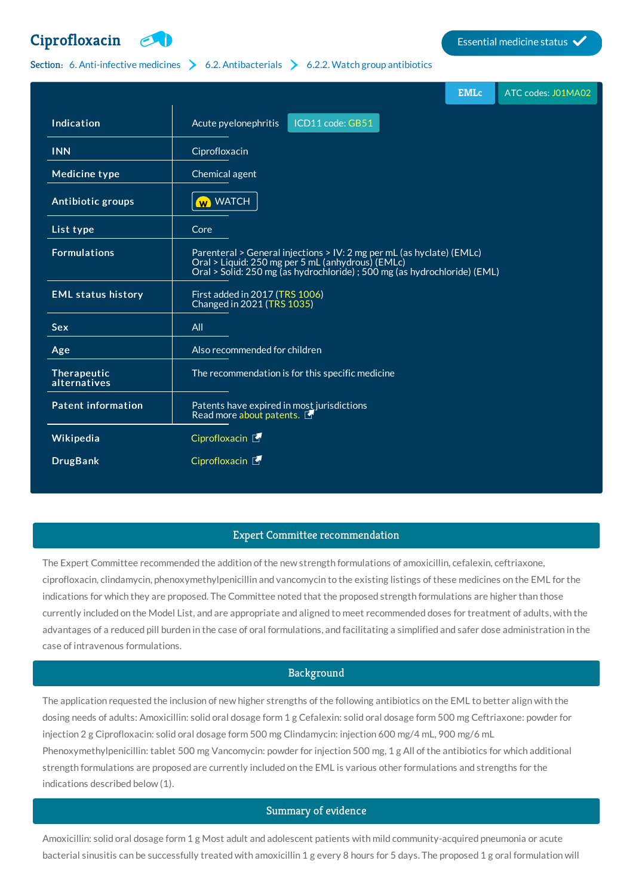# **[Ciprofloxacin](http://list.essentialmeds.org/medicines/271) Extending Contract Ciprofloxacin Essential medicine status**



### Section: 6. [Anti-infective](http://list.essentialmeds.org/?section=332) medicines  $\geq 6.2$ . [Antibacterials](http://list.essentialmeds.org/?section=337)  $\geq 6.2.2$ . Watch group [antibiotics](http://list.essentialmeds.org/?section=339)

|                             | <b>EMLc</b><br>ATC codes: J01MA02                                                                                                                                                                       |
|-----------------------------|---------------------------------------------------------------------------------------------------------------------------------------------------------------------------------------------------------|
| Indication                  | ICD11 code: GB51<br>Acute pyelonephritis                                                                                                                                                                |
| <b>INN</b>                  | Ciprofloxacin                                                                                                                                                                                           |
| <b>Medicine type</b>        | Chemical agent                                                                                                                                                                                          |
| Antibiotic groups           | W WATCH                                                                                                                                                                                                 |
| List type                   | Core                                                                                                                                                                                                    |
| <b>Formulations</b>         | Parenteral > General injections > IV: 2 mg per mL (as hyclate) (EMLc)<br>Oral > Liquid: 250 mg per 5 mL (anhydrous) (EMLc)<br>Oral > Solid: 250 mg (as hydrochloride) ; 500 mg (as hydrochloride) (EML) |
| <b>EML status history</b>   | First added in 2017 (TRS 1006)<br>Changed in 2021 (TRS 1035)                                                                                                                                            |
| <b>Sex</b>                  | All                                                                                                                                                                                                     |
| Age                         | Also recommended for children                                                                                                                                                                           |
| Therapeutic<br>alternatives | The recommendation is for this specific medicine                                                                                                                                                        |
| <b>Patent information</b>   | Patents have expired in most jurisdictions<br>Read more about patents.                                                                                                                                  |
| Wikipedia                   | Ciprofloxacin [                                                                                                                                                                                         |
| <b>DrugBank</b>             | Ciprofloxacin [5]                                                                                                                                                                                       |

#### Expert Committee recommendation

The Expert Committee recommended the addition of the new strength formulations of amoxicillin, cefalexin, ceftriaxone, ciprofloxacin, clindamycin, phenoxymethylpenicillin and vancomycin to the existing listings of these medicines on the EML for the indications for which they are proposed. The Committee noted that the proposed strength formulations are higher than those currently included on the Model List, and are appropriate and aligned to meet recommended doses for treatment of adults, with the advantages of a reduced pill burden in the case of oral formulations, and facilitating a simplified and safer dose administration in the case of intravenous formulations.

## Background

The application requested the inclusion of new higher strengths of the following antibiotics on the EML to better align with the dosing needs of adults: Amoxicillin: solid oral dosage form 1 g Cefalexin: solid oral dosage form 500 mg Ceftriaxone: powder for injection 2 g Ciprofloxacin: solid oral dosage form 500 mg Clindamycin: injection 600 mg/4 mL, 900 mg/6 mL Phenoxymethylpenicillin: tablet 500 mg Vancomycin: powder for injection 500 mg, 1 g All of the antibiotics for which additional strength formulations are proposed are currently included on the EML is various other formulations and strengths for the indications described below (1).

## Summary of evidence

Amoxicillin: solid oral dosage form 1 g Most adult and adolescent patients with mild community-acquired pneumonia or acute bacterial sinusitis can be successfully treated with amoxicillin 1 g every 8 hours for 5 days. The proposed 1 g oral formulation will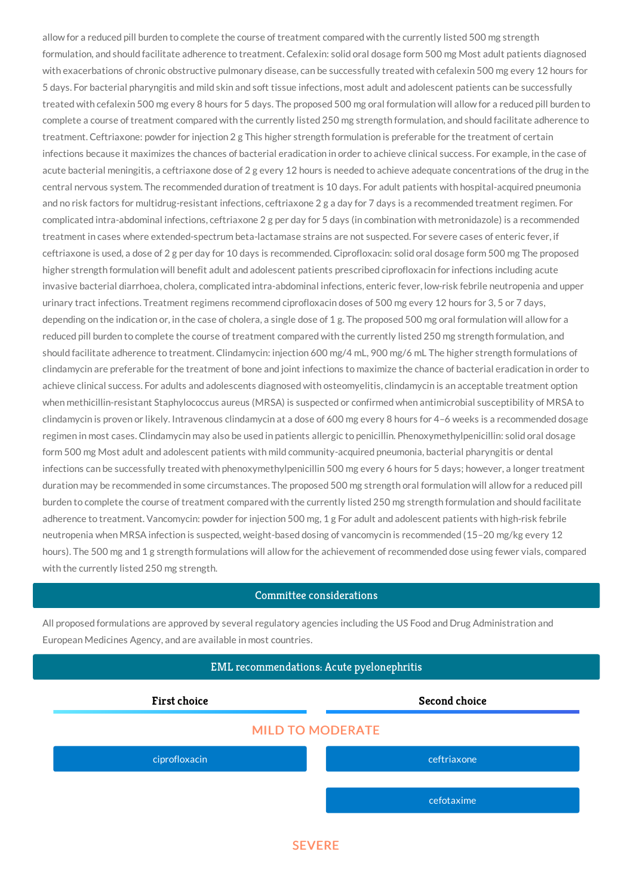allow for a reduced pill burden to complete the course of treatment compared with the currently listed 500 mg strength formulation, and should facilitate adherence to treatment. Cefalexin: solid oral dosage form 500 mg Most adult patients diagnosed with exacerbations of chronic obstructive pulmonary disease, can be successfully treated with cefalexin 500 mg every 12 hours for 5 days. For bacterial pharyngitis and mild skin and soft tissue infections, most adult and adolescent patients can be successfully treated with cefalexin 500 mg every 8 hours for 5 days. The proposed 500 mg oral formulation will allow for a reduced pill burden to complete a course of treatment compared with the currently listed 250 mg strength formulation, and should facilitate adherence to treatment. Ceftriaxone: powder for injection 2 g This higher strength formulation is preferable for the treatment of certain infections because it maximizes the chances of bacterial eradication in order to achieve clinical success. For example, in the case of acute bacterial meningitis, a ceftriaxone dose of 2 g every 12 hours is needed to achieve adequate concentrations of the drug in the central nervous system. The recommended duration of treatment is 10 days. For adult patients with hospital-acquired pneumonia and no risk factors for multidrug-resistant infections, ceftriaxone 2 g a day for 7 days is a recommended treatment regimen. For complicated intra-abdominal infections, ceftriaxone 2 g per day for 5 days (in combination with metronidazole) is a recommended treatment in cases where extended-spectrum beta-lactamase strains are not suspected. For severe cases of enteric fever, if ceftriaxone is used, a dose of 2 g per day for 10 days is recommended. Ciprofloxacin: solid oral dosage form 500 mg The proposed higher strength formulation will benefit adult and adolescent patients prescribed ciprofloxacin for infections including acute invasive bacterial diarrhoea, cholera, complicated intra-abdominal infections, enteric fever, low-risk febrile neutropenia and upper urinary tract infections. Treatment regimens recommend ciprofloxacin doses of 500 mg every 12 hours for 3, 5 or 7 days, depending on the indication or, in the case of cholera, a single dose of 1 g. The proposed 500 mg oral formulation will allow for a reduced pill burden to complete the course of treatment compared with the currently listed 250 mg strength formulation, and should facilitate adherence to treatment. Clindamycin: injection 600 mg/4 mL, 900 mg/6 mL The higher strength formulations of clindamycin are preferable for the treatment of bone and joint infections to maximize the chance of bacterial eradication in order to achieve clinical success. For adults and adolescents diagnosed with osteomyelitis, clindamycin is an acceptable treatment option when methicillin-resistant Staphylococcus aureus (MRSA) is suspected or confirmed when antimicrobial susceptibility of MRSA to clindamycin is proven or likely. Intravenous clindamycin at a dose of 600 mg every 8 hours for 4–6 weeks is a recommended dosage regimen in most cases. Clindamycin may also be used in patients allergic to penicillin. Phenoxymethylpenicillin: solid oral dosage form 500 mg Most adult and adolescent patients with mild community-acquired pneumonia, bacterial pharyngitis or dental infections can be successfully treated with phenoxymethylpenicillin 500 mg every 6 hours for 5 days; however, a longer treatment duration may be recommended in some circumstances. The proposed 500 mg strength oral formulation will allow for a reduced pill burden to complete the course of treatment compared with the currently listed 250 mg strength formulation and should facilitate adherence to treatment. Vancomycin: powder for injection 500 mg, 1 g For adult and adolescent patients with high-risk febrile neutropenia when MRSA infection is suspected, weight-based dosing of vancomycin is recommended (15–20 mg/kg every 12 hours). The 500 mg and 1 g strength formulations will allow for the achievement of recommended dose using fewer vials, compared with the currently listed 250 mg strength.

#### Committee considerations

All proposed formulations are approved by several regulatory agencies including the US Food and Drug Administration and European Medicines Agency, and are available in most countries.



**SEVERE**